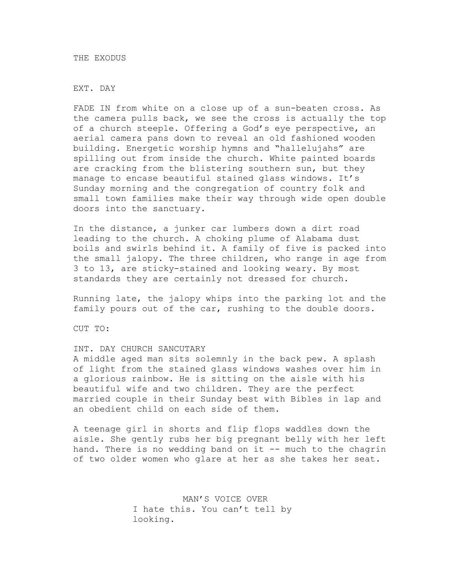THE EXODUS

EXT. DAY

FADE IN from white on a close up of a sun-beaten cross. As the camera pulls back, we see the cross is actually the top of a church steeple. Offering a God's eye perspective, an aerial camera pans down to reveal an old fashioned wooden building. Energetic worship hymns and "hallelujahs" are spilling out from inside the church. White painted boards are cracking from the blistering southern sun, but they manage to encase beautiful stained glass windows. It's Sunday morning and the congregation of country folk and small town families make their way through wide open double doors into the sanctuary.

In the distance, a junker car lumbers down a dirt road leading to the church. A choking plume of Alabama dust boils and swirls behind it. A family of five is packed into the small jalopy. The three children, who range in age from 3 to 13, are sticky-stained and looking weary. By most standards they are certainly not dressed for church.

Running late, the jalopy whips into the parking lot and the family pours out of the car, rushing to the double doors.

CUT TO:

## INT. DAY CHURCH SANCUTARY

A middle aged man sits solemnly in the back pew. A splash of light from the stained glass windows washes over him in a glorious rainbow. He is sitting on the aisle with his beautiful wife and two children. They are the perfect married couple in their Sunday best with Bibles in lap and an obedient child on each side of them.

A teenage girl in shorts and flip flops waddles down the aisle. She gently rubs her big pregnant belly with her left hand. There is no wedding band on it -- much to the chagrin of two older women who glare at her as she takes her seat.

> MAN'S VOICE OVER I hate this. You can't tell by looking.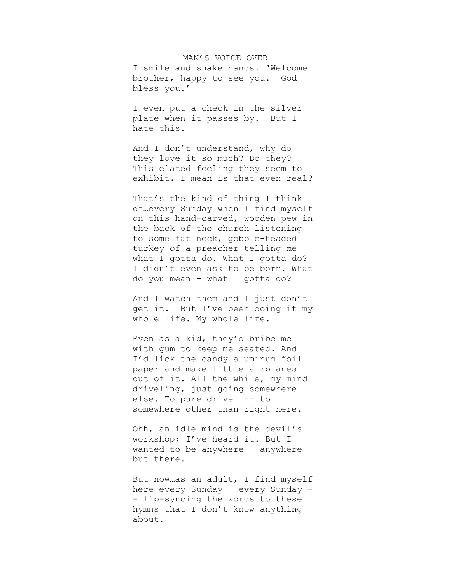MAN'S VOICE OVER I smile and shake hands. 'Welcome brother, happy to see you. God bless you.'

I even put a check in the silver plate when it passes by. But I hate this.

And I don't understand, why do they love it so much? Do they? This elated feeling they seem to exhibit. I mean is that even real?

That's the kind of thing I think of…every Sunday when I find myself on this hand-carved, wooden pew in the back of the church listening to some fat neck, gobble-headed turkey of a preacher telling me what I gotta do. What I gotta do? I didn't even ask to be born. What do you mean – what I gotta do?

And I watch them and I just don't get it. But I've been doing it my whole life. My whole life.

Even as a kid, they'd bribe me with gum to keep me seated. And I'd lick the candy aluminum foil paper and make little airplanes out of it. All the while, my mind driveling, just going somewhere else. To pure drivel -- to somewhere other than right here.

Ohh, an idle mind is the devil's workshop; I've heard it. But I wanted to be anywhere – anywhere but there.

But now…as an adult, I find myself here every Sunday – every Sunday - - lip-syncing the words to these hymns that I don't know anything about.